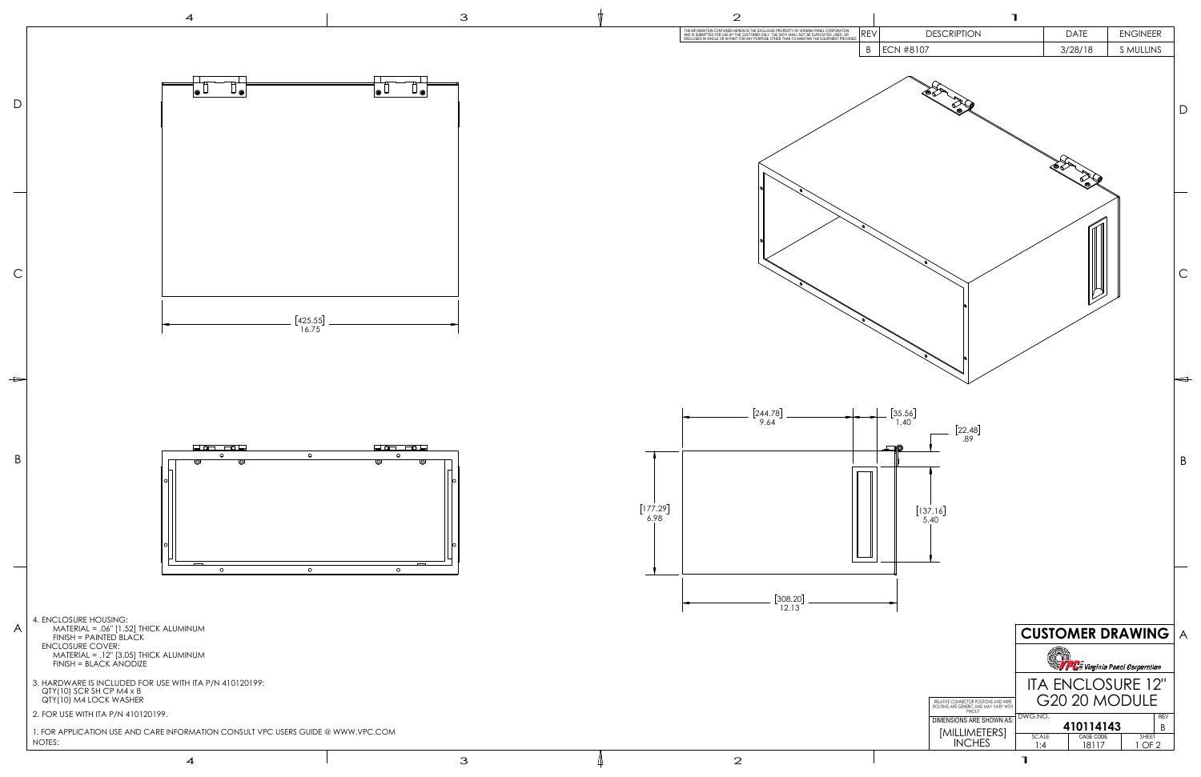

4

3  $\qquad \qquad \downarrow$  2

3

|    | ገ                                                                                                                                            |                                                                                                                                           |                                                                                    |                |
|----|----------------------------------------------------------------------------------------------------------------------------------------------|-------------------------------------------------------------------------------------------------------------------------------------------|------------------------------------------------------------------------------------|----------------|
| EV | <b>DESCRIPTION</b>                                                                                                                           | <b>DATE</b>                                                                                                                               | <b>ENGINEER</b>                                                                    |                |
| B  | <b>ECN #8107</b>                                                                                                                             | 3/28/18                                                                                                                                   | S MULLINS                                                                          |                |
|    |                                                                                                                                              |                                                                                                                                           |                                                                                    | D              |
|    |                                                                                                                                              |                                                                                                                                           |                                                                                    | С              |
|    | $\begin{bmatrix} 35.56 \\ 1.40 \end{bmatrix}$<br>$\begin{bmatrix} 22.48 \\ .89 \end{bmatrix}$<br>$[137.16]$<br>5.40                          |                                                                                                                                           |                                                                                    | B              |
|    | RELATIVE CONNECTOR POSITIONS AND WIRE<br>ROUTING ARE GENERIC AND MAY VARY WITH<br><b>DIMENSIONS ARE SHOWN AS:</b><br>[MILLIMETERS]<br>INCHES | <b>CUSTOMER DRAWING</b><br><b>ITA ENCLOSURE 12"</b><br>G20 20 MODULE<br>DWG.NO.<br>410114143<br>CAGE CODE<br><b>SCALE</b><br>18117<br>1:4 | <b>PLE</b> Virginia Panel Corporation<br><b>REV</b><br>B<br><b>SHEET</b><br>1 OF 2 | $\overline{A}$ |